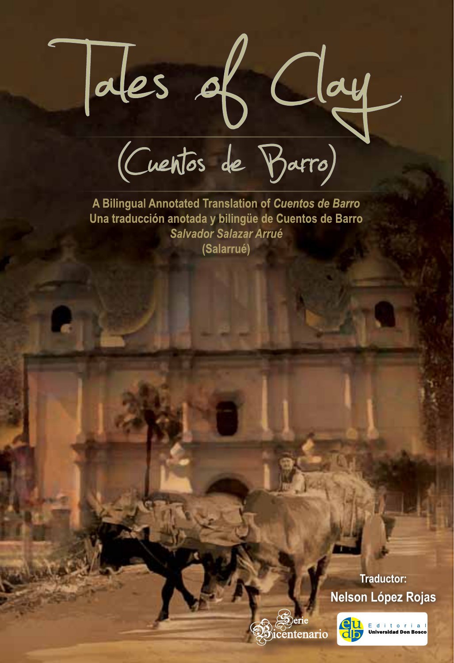des of Clay<br>(Cuentos de Barro)

A Bilingual Annotated Translation of Cuentos de Barro Una traducción anotada y bilingüe de Cuentos de Barro **Salvador Salazar Arrué** (Salarrué)

> **Nelson López Rojas Traductor:**



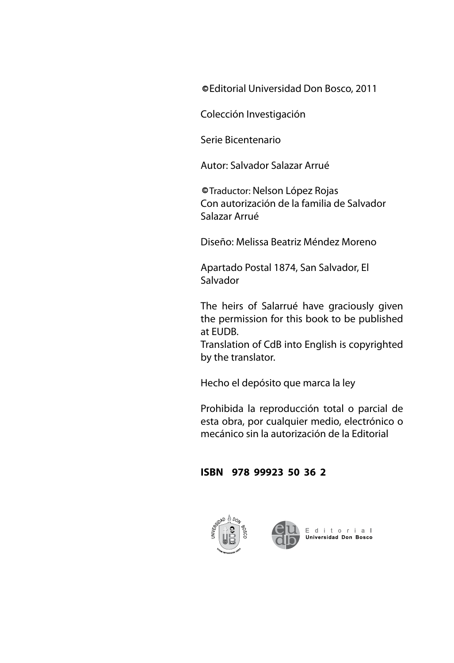Editorial Universidad Don Bosco, 2011 **C**

Colección Investigación

Serie Bicentenario

Autor: Salvador Salazar Arrué

Traductor: Nelson López Rojas **C** Con autorización de la familia de Salvador Salazar Arrué

Diseño: Melissa Beatriz Méndez Moreno

Apartado Postal 1874, San Salvador, El Salvador

The heirs of Salarrué have graciously given the permission for this book to be published at EUDB.

Translation of CdB into English is copyrighted by the translator.

Hecho el depósito que marca la ley

Prohibida la reproducción total o parcial de esta obra, por cualquier medio, electrónico o mecánico sin la autorización de la Editorial

#### **ISBN 978 99923 50 36 2**



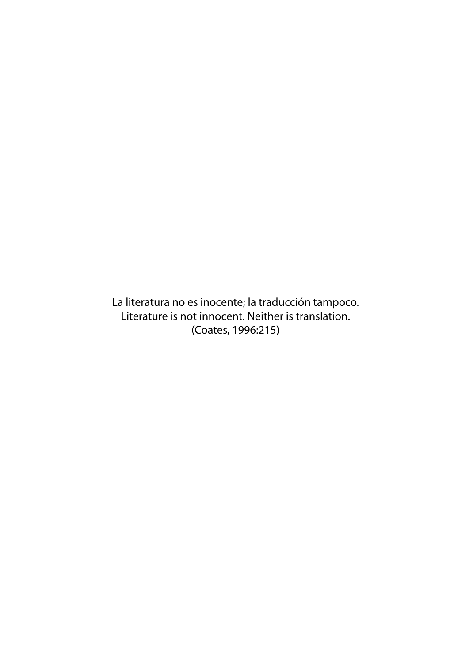La literatura no es inocente; la traducción tampoco. Literature is not innocent. Neither is translation. (Coates, 1996:215)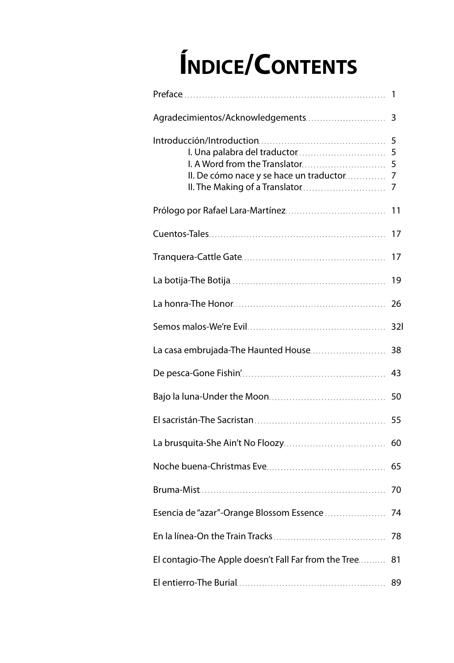# **Índice/Contents**

| Agradecimientos/Acknowledgements                                                                           | 3                     |
|------------------------------------------------------------------------------------------------------------|-----------------------|
| I. A Word from the Translator<br>II. De cómo nace y se hace un traductor<br>II. The Making of a Translator | 5<br>5<br>5<br>7<br>7 |
|                                                                                                            | 11                    |
|                                                                                                            | 17                    |
|                                                                                                            | 17                    |
|                                                                                                            | 19                    |
|                                                                                                            | 26                    |
|                                                                                                            | 32 <sup>l</sup>       |
| La casa embrujada-The Haunted House                                                                        | 38                    |
|                                                                                                            | 43                    |
|                                                                                                            | 50                    |
|                                                                                                            | 55                    |
|                                                                                                            | 60                    |
|                                                                                                            | 65                    |
|                                                                                                            | 70                    |
| Esencia de "azar"-Orange Blossom Essence                                                                   | 74                    |
|                                                                                                            |                       |
| El contagio-The Apple doesn't Fall Far from the Tree                                                       | 81                    |
|                                                                                                            | 89                    |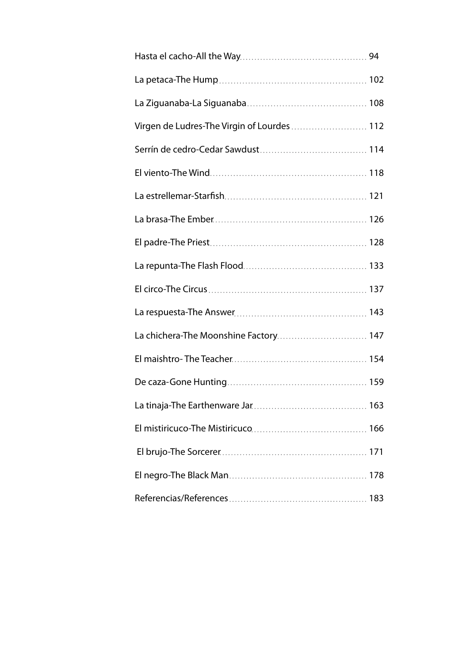| Virgen de Ludres-The Virgin of Lourdes 112 |  |
|--------------------------------------------|--|
|                                            |  |
|                                            |  |
|                                            |  |
|                                            |  |
|                                            |  |
|                                            |  |
|                                            |  |
|                                            |  |
| La chichera-The Moonshine Factory 147      |  |
|                                            |  |
|                                            |  |
|                                            |  |
|                                            |  |
|                                            |  |
|                                            |  |
|                                            |  |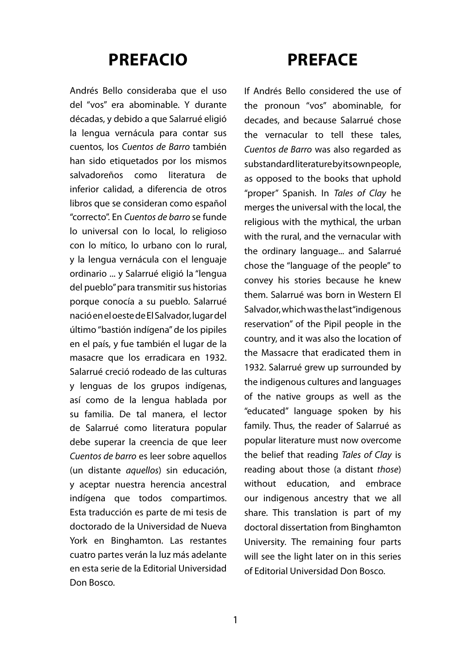### **Prefacio**

Andrés Bello consideraba que el uso del "vos" era abominable. Y durante décadas, y debido a que Salarrué eligió la lengua vernácula para contar sus cuentos, los *Cuentos de Barro* también han sido etiquetados por los mismos salvadoreños como literatura de inferior calidad, a diferencia de otros libros que se consideran como español "correcto". En *Cuentos de barro* se funde lo universal con lo local, lo religioso con lo mítico, lo urbano con lo rural, y la lengua vernácula con el lenguaje ordinario ... y Salarrué eligió la "lengua del pueblo" para transmitir sus historias porque conocía a su pueblo. Salarrué nació en el oeste de El Salvador, lugar del último "bastión indígena" de los pipiles en el país, y fue también el lugar de la masacre que los erradicara en 1932. Salarrué creció rodeado de las culturas y lenguas de los grupos indígenas, así como de la lengua hablada por su familia. De tal manera, el lector de Salarrué como literatura popular debe superar la creencia de que leer *Cuentos de barro* es leer sobre aquellos (un distante *aquellos*) sin educación, y aceptar nuestra herencia ancestral indígena que todos compartimos. Esta traducción es parte de mi tesis de doctorado de la Universidad de Nueva York en Binghamton. Las restantes cuatro partes verán la luz más adelante en esta serie de la Editorial Universidad Don Bosco.

### **Preface**

If Andrés Bello considered the use of the pronoun "vos" abominable, for decades, and because Salarrué chose the vernacular to tell these tales, *Cuentos de Barro* was also regarded as substandard literature by its own people, as opposed to the books that uphold "proper" Spanish. In *Tales of Clay* he merges the universal with the local, the religious with the mythical, the urban with the rural, and the vernacular with the ordinary language... and Salarrué chose the "language of the people" to convey his stories because he knew them. Salarrué was born in Western El Salvador, which was the last "indigenous reservation" of the Pipil people in the country, and it was also the location of the Massacre that eradicated them in 1932. Salarrué grew up surrounded by the indigenous cultures and languages of the native groups as well as the "educated" language spoken by his family. Thus, the reader of Salarrué as popular literature must now overcome the belief that reading *Tales of Clay* is reading about those (a distant *those*) without education, and embrace our indigenous ancestry that we all share. This translation is part of my doctoral dissertation from Binghamton University. The remaining four parts will see the light later on in this series of Editorial Universidad Don Bosco.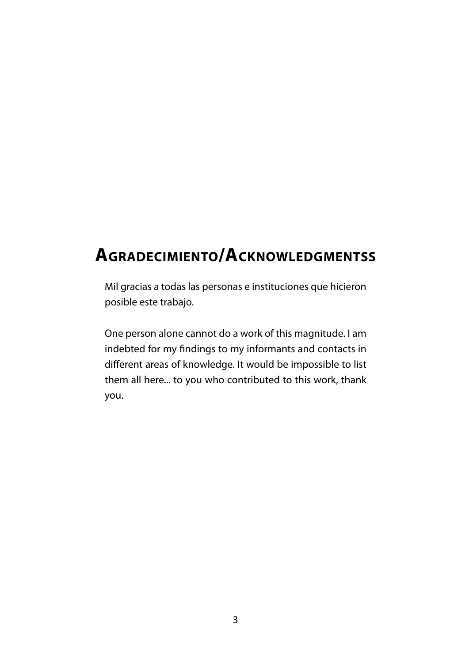### **Agradecimiento/Acknowledgmentss**

Mil gracias a todas las personas e instituciones que hicieron posible este trabajo.

One person alone cannot do a work of this magnitude. I am indebted for my findings to my informants and contacts in different areas of knowledge. It would be impossible to list them all here... to you who contributed to this work, thank you.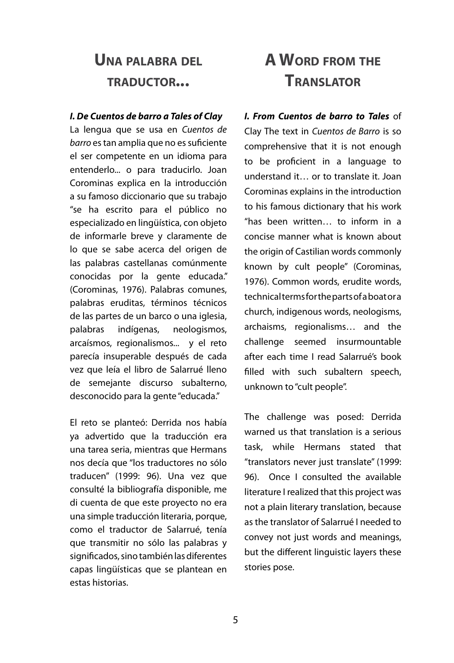### **Una palabra del traductor...**

#### *I. De Cuentos de barro a Tales of Clay*

La lengua que se usa en *Cuentos de barro* es tan amplia que no es suficiente el ser competente en un idioma para entenderlo... o para traducirlo. Joan Corominas explica en la introducción a su famoso diccionario que su trabajo "se ha escrito para el público no especializado en lingüística, con objeto de informarle breve y claramente de lo que se sabe acerca del origen de las palabras castellanas comúnmente conocidas por la gente educada." (Corominas, 1976). Palabras comunes, palabras eruditas, términos técnicos de las partes de un barco o una iglesia, palabras indígenas, neologismos, arcaísmos, regionalismos... y el reto parecía insuperable después de cada vez que leía el libro de Salarrué lleno de semejante discurso subalterno, desconocido para la gente "educada."

El reto se planteó: Derrida nos había ya advertido que la traducción era una tarea seria, mientras que Hermans nos decía que "los traductores no sólo traducen" (1999: 96). Una vez que consulté la bibliografía disponible, me di cuenta de que este proyecto no era una simple traducción literaria, porque, como el traductor de Salarrué, tenía que transmitir no sólo las palabras y significados, sino también las diferentes capas lingüísticas que se plantean en estas historias.

### **A Word from the Translator**

*I. From Cuentos de barro to Tales* of Clay The text in *Cuentos de Barro* is so comprehensive that it is not enough to be proficient in a language to understand it… or to translate it. Joan Corominas explains in the introduction to his famous dictionary that his work "has been written… to inform in a concise manner what is known about the origin of Castilian words commonly known by cult people" (Corominas, 1976). Common words, erudite words, technical terms for the parts of a boat or a church, indigenous words, neologisms, archaisms, regionalisms… and the challenge seemed insurmountable after each time I read Salarrué's book filled with such subaltern speech, unknown to "cult people".

The challenge was posed: Derrida warned us that translation is a serious task, while Hermans stated that "translators never just translate" (1999: 96). Once I consulted the available literature I realized that this project was not a plain literary translation, because as the translator of Salarrué I needed to convey not just words and meanings, but the different linguistic layers these stories pose.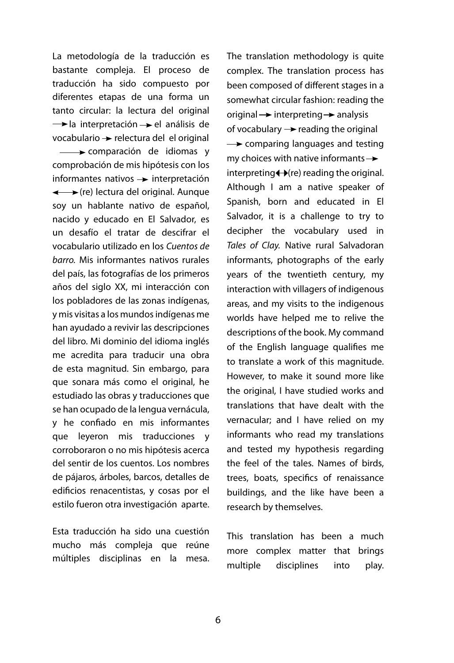La metodología de la traducción es bastante compleja. El proceso de traducción ha sido compuesto por diferentes etapas de una forma un tanto circular: la lectura del original  $\rightarrow$ la interpretación  $\rightarrow$  el análisis de  $vocabulary \rightarrow$  relectura del el original comparación de idiomas y comprobación de mis hipótesis con los informantes nativos  $\rightarrow$  interpretación ←  $(re)$  lectura del original. Aunque soy un hablante nativo de español, nacido y educado en El Salvador, es un desafío el tratar de descifrar el vocabulario utilizado en los *Cuentos de barro.* Mis informantes nativos rurales del país, las fotografías de los primeros años del siglo XX, mi interacción con los pobladores de las zonas indígenas, y mis visitas a los mundos indígenas me han ayudado a revivir las descripciones del libro. Mi dominio del idioma inglés me acredita para traducir una obra de esta magnitud. Sin embargo, para que sonara más como el original, he estudiado las obras y traducciones que se han ocupado de la lengua vernácula, y he confiado en mis informantes que leyeron mis traducciones y corroboraron o no mis hipótesis acerca del sentir de los cuentos. Los nombres de pájaros, árboles, barcos, detalles de edificios renacentistas, y cosas por el estilo fueron otra investigación aparte.

Esta traducción ha sido una cuestión mucho más compleja que reúne múltiples disciplinas en la mesa. The translation methodology is quite complex. The translation process has been composed of different stages in a somewhat circular fashion: reading the original  $\rightarrow$  interpreting  $\rightarrow$  analysis of vocabulary  $\rightarrow$  reading the original  $\rightarrow$  comparing languages and testing my choices with native informants  $\rightarrow$  $interpreting \leftrightarrow (re)$  reading the original. Although I am a native speaker of Spanish, born and educated in El Salvador, it is a challenge to try to decipher the vocabulary used in *Tales of Clay.* Native rural Salvadoran informants, photographs of the early years of the twentieth century, my interaction with villagers of indigenous areas, and my visits to the indigenous worlds have helped me to relive the descriptions of the book. My command of the English language qualifies me to translate a work of this magnitude. However, to make it sound more like the original, I have studied works and translations that have dealt with the vernacular; and I have relied on my informants who read my translations and tested my hypothesis regarding the feel of the tales. Names of birds, trees, boats, specifics of renaissance buildings, and the like have been a research by themselves.

This translation has been a much more complex matter that brings multiple disciplines into play.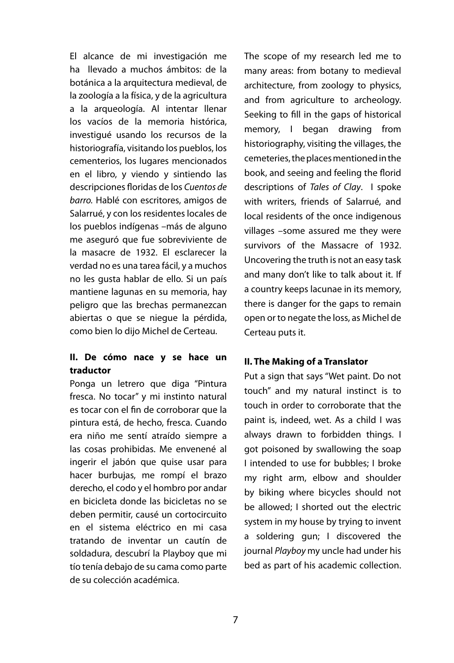El alcance de mi investigación me ha llevado a muchos ámbitos: de la botánica a la arquitectura medieval, de la zoología a la física, y de la agricultura a la arqueología. Al intentar llenar los vacíos de la memoria histórica, investigué usando los recursos de la historiografía, visitando los pueblos, los cementerios, los lugares mencionados en el libro, y viendo y sintiendo las descripciones floridas de los *Cuentos de barro.* Hablé con escritores, amigos de Salarrué, y con los residentes locales de los pueblos indígenas –más de alguno me aseguró que fue sobreviviente de la masacre de 1932. El esclarecer la verdad no es una tarea fácil, y a muchos no les gusta hablar de ello. Si un país mantiene lagunas en su memoria, hay peligro que las brechas permanezcan abiertas o que se niegue la pérdida, como bien lo dijo Michel de Certeau.

#### **II. De cómo nace y se hace un traductor**

Ponga un letrero que diga "Pintura fresca. No tocar" y mi instinto natural es tocar con el fin de corroborar que la pintura está, de hecho, fresca. Cuando era niño me sentí atraído siempre a las cosas prohibidas. Me envenené al ingerir el jabón que quise usar para hacer burbujas, me rompí el brazo derecho, el codo y el hombro por andar en bicicleta donde las bicicletas no se deben permitir, causé un cortocircuito en el sistema eléctrico en mi casa tratando de inventar un cautín de soldadura, descubrí la Playboy que mi tío tenía debajo de su cama como parte de su colección académica.

The scope of my research led me to many areas: from botany to medieval architecture, from zoology to physics, and from agriculture to archeology. Seeking to fill in the gaps of historical memory, I began drawing from historiography, visiting the villages, the cemeteries, the places mentioned in the book, and seeing and feeling the florid descriptions of *Tales of Clay*. I spoke with writers, friends of Salarrué, and local residents of the once indigenous villages –some assured me they were survivors of the Massacre of 1932. Uncovering the truth is not an easy task and many don't like to talk about it. If a country keeps lacunae in its memory, there is danger for the gaps to remain open or to negate the loss, as Michel de Certeau puts it.

#### **II. The Making of a Translator**

Put a sign that says "Wet paint. Do not touch" and my natural instinct is to touch in order to corroborate that the paint is, indeed, wet. As a child I was always drawn to forbidden things. I got poisoned by swallowing the soap I intended to use for bubbles; I broke my right arm, elbow and shoulder by biking where bicycles should not be allowed; I shorted out the electric system in my house by trying to invent a soldering gun; I discovered the journal *Playboy* my uncle had under his bed as part of his academic collection.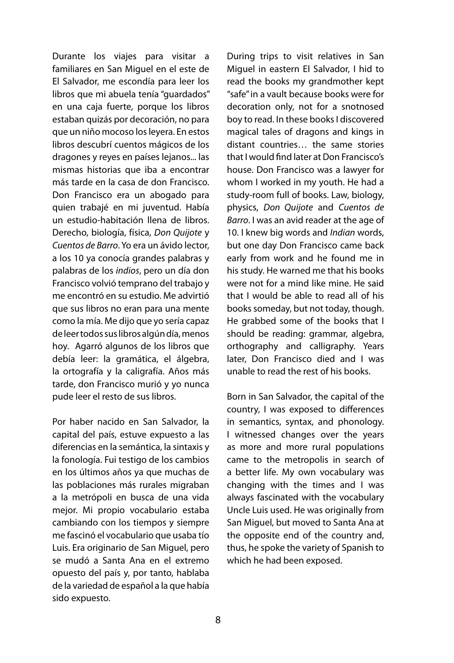Durante los viajes para visitar a familiares en San Miguel en el este de El Salvador, me escondía para leer los libros que mi abuela tenía "guardados" en una caja fuerte, porque los libros estaban quizás por decoración, no para que un niño mocoso los leyera. En estos libros descubrí cuentos mágicos de los dragones y reyes en países lejanos... las mismas historias que iba a encontrar más tarde en la casa de don Francisco. Don Francisco era un abogado para quien trabajé en mi juventud. Había un estudio-habitación llena de libros. Derecho, biología, física, *Don Quijote* y *Cuentos de Barro*. Yo era un ávido lector, a los 10 ya conocía grandes palabras y palabras de los *indios*, pero un día don Francisco volvió temprano del trabajo y me encontró en su estudio. Me advirtió que sus libros no eran para una mente como la mía. Me dijo que yo sería capaz de leer todos sus libros algún día, menos hoy. Agarró algunos de los libros que debía leer: la gramática, el álgebra, la ortografía y la caligrafía. Años más tarde, don Francisco murió y yo nunca pude leer el resto de sus libros.

Por haber nacido en San Salvador, la capital del país, estuve expuesto a las diferencias en la semántica, la sintaxis y la fonología. Fui testigo de los cambios en los últimos años ya que muchas de las poblaciones más rurales migraban a la metrópoli en busca de una vida mejor. Mi propio vocabulario estaba cambiando con los tiempos y siempre me fascinó el vocabulario que usaba tío Luis. Era originario de San Miguel, pero se mudó a Santa Ana en el extremo opuesto del país y, por tanto, hablaba de la variedad de español a la que había sido expuesto.

During trips to visit relatives in San Miguel in eastern El Salvador, I hid to read the books my grandmother kept "safe" in a vault because books were for decoration only, not for a snotnosed boy to read. In these books I discovered magical tales of dragons and kings in distant countries… the same stories that I would find later at Don Francisco's house. Don Francisco was a lawyer for whom I worked in my youth. He had a study-room full of books. Law, biology, physics, *Don Quijote* and *Cuentos de Barro*. I was an avid reader at the age of 10. I knew big words and *Indian* words, but one day Don Francisco came back early from work and he found me in his study. He warned me that his books were not for a mind like mine. He said that I would be able to read all of his books someday, but not today, though. He grabbed some of the books that I should be reading: grammar, algebra, orthography and calligraphy. Years later, Don Francisco died and I was unable to read the rest of his books.

Born in San Salvador, the capital of the country, I was exposed to differences in semantics, syntax, and phonology. I witnessed changes over the years as more and more rural populations came to the metropolis in search of a better life. My own vocabulary was changing with the times and I was always fascinated with the vocabulary Uncle Luis used. He was originally from San Miguel, but moved to Santa Ana at the opposite end of the country and, thus, he spoke the variety of Spanish to which he had been exposed.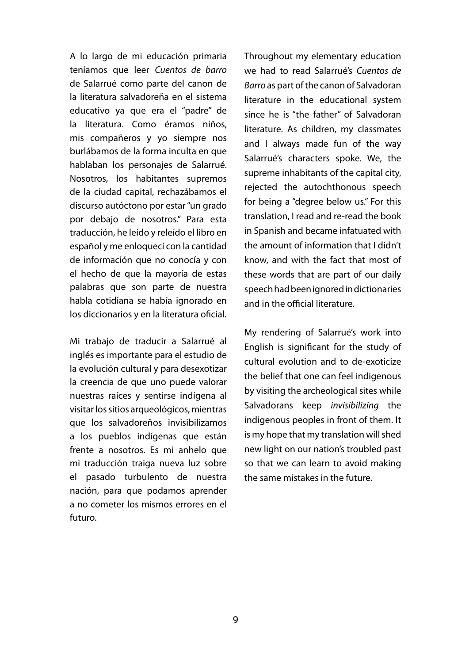A lo largo de mi educación primaria teníamos que leer *Cuentos de barro*  de Salarrué como parte del canon de la literatura salvadoreña en el sistema educativo ya que era el "padre" de la literatura. Como éramos niños, mis compañeros y yo siempre nos burlábamos de la forma inculta en que hablaban los personajes de Salarrué. Nosotros, los habitantes supremos de la ciudad capital, rechazábamos el discurso autóctono por estar "un grado por debajo de nosotros." Para esta traducción, he leído y releído el libro en español y me enloquecí con la cantidad de información que no conocía y con el hecho de que la mayoría de estas palabras que son parte de nuestra habla cotidiana se había ignorado en los diccionarios y en la literatura oficial.

Mi trabajo de traducir a Salarrué al inglés es importante para el estudio de la evolución cultural y para desexotizar la creencia de que uno puede valorar nuestras raíces y sentirse indígena al visitar los sitios arqueológicos, mientras que los salvadoreños invisibilizamos a los pueblos indígenas que están frente a nosotros. Es mi anhelo que mi traducción traiga nueva luz sobre el pasado turbulento de nuestra nación, para que podamos aprender a no cometer los mismos errores en el futuro.

Throughout my elementary education we had to read Salarrué's *Cuentos de Barro* as part of the canon of Salvadoran literature in the educational system since he is "the father" of Salvadoran literature. As children, my classmates and I always made fun of the way Salarrué's characters spoke. We, the supreme inhabitants of the capital city, rejected the autochthonous speech for being a "degree below us." For this translation, I read and re-read the book in Spanish and became infatuated with the amount of information that I didn't know, and with the fact that most of these words that are part of our daily speech had been ignored in dictionaries and in the official literature.

My rendering of Salarrué's work into English is significant for the study of cultural evolution and to de-exoticize the belief that one can feel indigenous by visiting the archeological sites while Salvadorans keep *invisibilizing* the indigenous peoples in front of them. It is my hope that my translation will shed new light on our nation's troubled past so that we can learn to avoid making the same mistakes in the future.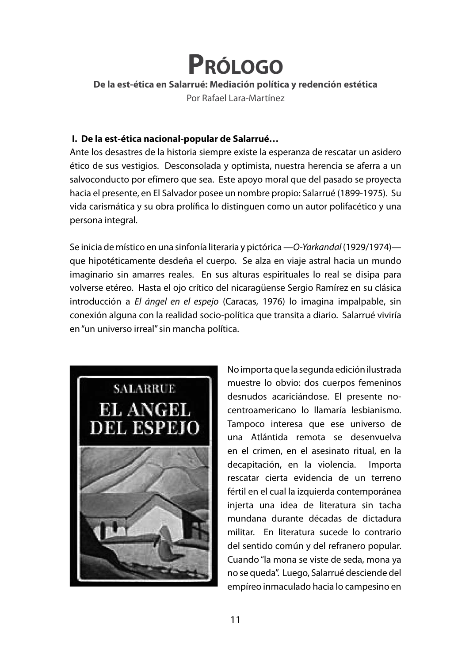## **Prólogo**

#### **De la est-ética en Salarrué: Mediación política y redención estética**

Por Rafael Lara-Martínez

#### **I. De la est-ética nacional-popular de Salarrué…**

Ante los desastres de la historia siempre existe la esperanza de rescatar un asidero ético de sus vestigios. Desconsolada y optimista, nuestra herencia se aferra a un salvoconducto por efímero que sea. Este apoyo moral que del pasado se proyecta hacia el presente, en El Salvador posee un nombre propio: Salarrué (1899-1975). Su vida carismática y su obra prolífica lo distinguen como un autor polifacético y una persona integral.

Se inicia de místico en una sinfonía literaria y pictórica —*O-Yarkandal* (1929/1974) que hipotéticamente desdeña el cuerpo. Se alza en viaje astral hacia un mundo imaginario sin amarres reales. En sus alturas espirituales lo real se disipa para volverse etéreo. Hasta el ojo crítico del nicaragüense Sergio Ramírez en su clásica introducción a *El ángel en el espejo* (Caracas, 1976) lo imagina impalpable, sin conexión alguna con la realidad socio-política que transita a diario. Salarrué viviría en "un universo irreal" sin mancha política.



No importa que la segunda edición ilustrada muestre lo obvio: dos cuerpos femeninos desnudos acariciándose. El presente nocentroamericano lo llamaría lesbianismo. Tampoco interesa que ese universo de una Atlántida remota se desenvuelva en el crimen, en el asesinato ritual, en la decapitación, en la violencia. Importa rescatar cierta evidencia de un terreno fértil en el cual la izquierda contemporánea injerta una idea de literatura sin tacha mundana durante décadas de dictadura militar. En literatura sucede lo contrario del sentido común y del refranero popular. Cuando "la mona se viste de seda, mona ya no se queda". Luego, Salarrué desciende del empíreo inmaculado hacia lo campesino en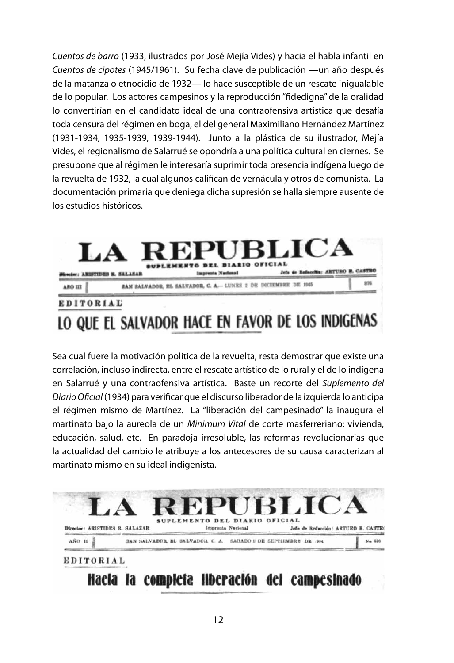*Cuentos de barro* (1933, ilustrados por José Mejía Vides) y hacia el habla infantil en *Cuentos de cipotes* (1945/1961). Su fecha clave de publicación —un año después de la matanza o etnocidio de 1932— lo hace susceptible de un rescate inigualable de lo popular. Los actores campesinos y la reproducción "fidedigna" de la oralidad lo convertirían en el candidato ideal de una contraofensiva artística que desafía toda censura del régimen en boga, el del general Maximiliano Hernández Martínez (1931-1934, 1935-1939, 1939-1944). Junto a la plástica de su ilustrador, Mejía Vides, el regionalismo de Salarrué se opondría a una política cultural en ciernes. Se presupone que al régimen le interesaría suprimir toda presencia indígena luego de la revuelta de 1932, la cual algunos califican de vernácula y otros de comunista. La documentación primaria que deniega dicha supresión se halla siempre ausente de los estudios históricos.



Sea cual fuere la motivación política de la revuelta, resta demostrar que existe una correlación, incluso indirecta, entre el rescate artístico de lo rural y el de lo indígena en Salarrué y una contraofensiva artística. Baste un recorte del *Suplemento del Diario Oficial* (1934) para verificar que el discurso liberador de la izquierda lo anticipa el régimen mismo de Martínez. La "liberación del campesinado" la inaugura el martinato bajo la aureola de un *Minimum Vital* de corte masferreriano: vivienda, educación, salud, etc. En paradoja irresoluble, las reformas revolucionarias que la actualidad del cambio le atribuye a los antecesores de su causa caracterizan al martinato mismo en su ideal indigenista.

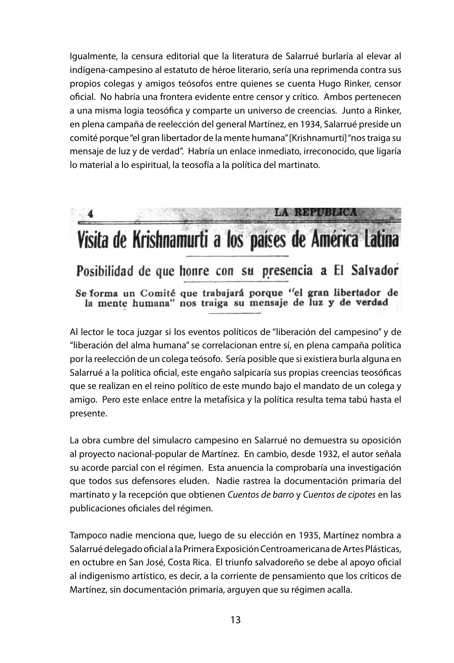Igualmente, la censura editorial que la literatura de Salarrué burlaría al elevar al indígena-campesino al estatuto de héroe literario, sería una reprimenda contra sus propios colegas y amigos teósofos entre quienes se cuenta Hugo Rinker, censor oficial. No habría una frontera evidente entre censor y crítico. Ambos pertenecen a una misma logia teosófica y comparte un universo de creencias. Junto a Rinker, en plena campaña de reelección del general Martínez, en 1934, Salarrué preside un comité porque "el gran libertador de la mente humana" [Krishnamurti] "nos traiga su mensaje de luz y de verdad". Habría un enlace inmediato, irreconocido, que ligaría lo material a lo espiritual, la teosofía a la política del martinato.

### LA REPUBLICA Visita de Krishnamurti a los países de América Latina Posibilidad de que honre con su presencia a El Salvador Se forma un Comité que trabajará porque "el gran libertador de la mente humana" nos traiga su mensaje de luz y de verdad

Al lector le toca juzgar si los eventos políticos de "liberación del campesino" y de "liberación del alma humana" se correlacionan entre sí, en plena campaña política por la reelección de un colega teósofo. Sería posible que si existiera burla alguna en Salarrué a la política oficial, este engaño salpicaría sus propias creencias teosóficas que se realizan en el reino político de este mundo bajo el mandato de un colega y amigo. Pero este enlace entre la metafísica y la política resulta tema tabú hasta el presente.

La obra cumbre del simulacro campesino en Salarrué no demuestra su oposición al proyecto nacional-popular de Martínez. En cambio, desde 1932, el autor señala su acorde parcial con el régimen. Esta anuencia la comprobaría una investigación que todos sus defensores eluden. Nadie rastrea la documentación primaria del martinato y la recepción que obtienen *Cuentos de barro* y *Cuentos de cipotes* en las publicaciones oficiales del régimen.

Tampoco nadie menciona que, luego de su elección en 1935, Martínez nombra a Salarrué delegado oficial a la Primera Exposición Centroamericana de Artes Plásticas, en octubre en San José, Costa Rica. El triunfo salvadoreño se debe al apoyo oficial al indigenismo artístico, es decir, a la corriente de pensamiento que los críticos de Martínez, sin documentación primaria, arguyen que su régimen acalla.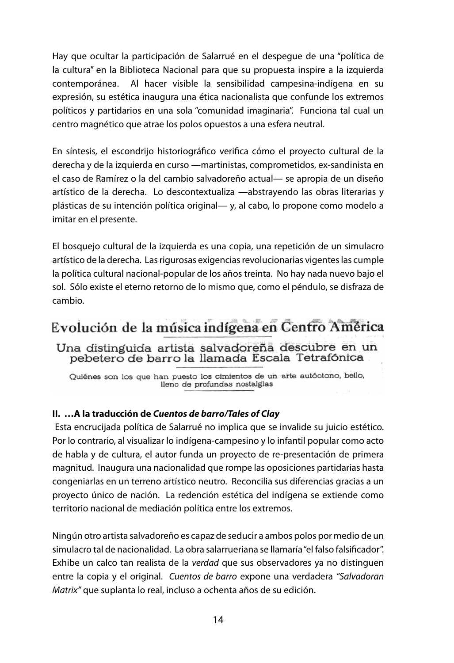Hay que ocultar la participación de Salarrué en el despegue de una "política de la cultura" en la Biblioteca Nacional para que su propuesta inspire a la izquierda contemporánea. Al hacer visible la sensibilidad campesina-indígena en su expresión, su estética inaugura una ética nacionalista que confunde los extremos políticos y partidarios en una sola "comunidad imaginaria". Funciona tal cual un centro magnético que atrae los polos opuestos a una esfera neutral.

En síntesis, el escondrijo historiográfico verifica cómo el proyecto cultural de la derecha y de la izquierda en curso —martinistas, comprometidos, ex-sandinista en el caso de Ramírez o la del cambio salvadoreño actual— se apropia de un diseño artístico de la derecha. Lo descontextualiza —abstrayendo las obras literarias y plásticas de su intención política original— y, al cabo, lo propone como modelo a imitar en el presente.

El bosquejo cultural de la izquierda es una copia, una repetición de un simulacro artístico de la derecha. Las rigurosas exigencias revolucionarias vigentes las cumple la política cultural nacional-popular de los años treinta. No hay nada nuevo bajo el sol. Sólo existe el eterno retorno de lo mismo que, como el péndulo, se disfraza de cambio.

### Evolución de la música indígena en Centro América

Una distinguida artista salvadoreña descubre en un pebetero de barro la llamada Escala Tetrafónica

Quiénes son los que han puesto los cimientos de un arte autóctono, bello, lleno de profundas nostalgias

#### **II. …A la traducción de** *Cuentos de barro/Tales of Clay*

 Esta encrucijada política de Salarrué no implica que se invalide su juicio estético. Por lo contrario, al visualizar lo indígena-campesino y lo infantil popular como acto de habla y de cultura, el autor funda un proyecto de re-presentación de primera magnitud. Inaugura una nacionalidad que rompe las oposiciones partidarias hasta congeniarlas en un terreno artístico neutro. Reconcilia sus diferencias gracias a un proyecto único de nación. La redención estética del indígena se extiende como territorio nacional de mediación política entre los extremos.

Ningún otro artista salvadoreño es capaz de seducir a ambos polos por medio de un simulacro tal de nacionalidad. La obra salarrueriana se llamaría "el falso falsificador". Exhibe un calco tan realista de la *verdad* que sus observadores ya no distinguen entre la copia y el original. *Cuentos de barro* expone una verdadera *"Salvadoran Matrix"* que suplanta lo real, incluso a ochenta años de su edición.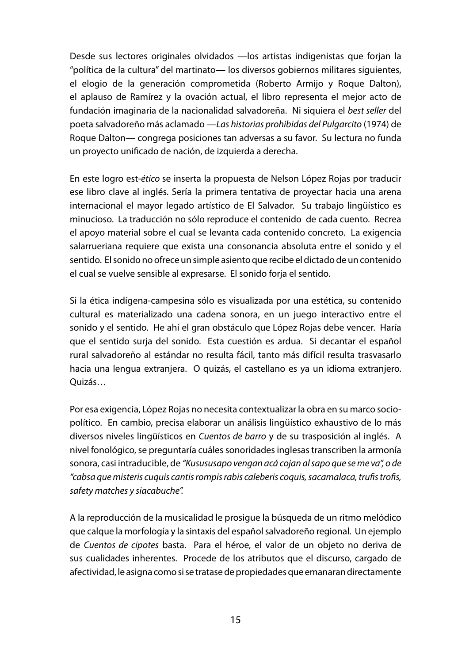Desde sus lectores originales olvidados —los artistas indigenistas que forjan la "política de la cultura" del martinato— los diversos gobiernos militares siguientes, el elogio de la generación comprometida (Roberto Armijo y Roque Dalton), el aplauso de Ramírez y la ovación actual, el libro representa el mejor acto de fundación imaginaria de la nacionalidad salvadoreña. Ni siquiera el *best seller* del poeta salvadoreño más aclamado —*Las historias prohibidas del Pulgarcito* (1974) de Roque Dalton— congrega posiciones tan adversas a su favor. Su lectura no funda un proyecto unificado de nación, de izquierda a derecha.

En este logro est-*ético* se inserta la propuesta de Nelson López Rojas por traducir ese libro clave al inglés. Sería la primera tentativa de proyectar hacia una arena internacional el mayor legado artístico de El Salvador. Su trabajo lingüístico es minucioso. La traducción no sólo reproduce el contenido de cada cuento. Recrea el apoyo material sobre el cual se levanta cada contenido concreto. La exigencia salarrueriana requiere que exista una consonancia absoluta entre el sonido y el sentido. El sonido no ofrece un simple asiento que recibe el dictado de un contenido el cual se vuelve sensible al expresarse. El sonido forja el sentido.

Si la ética indígena-campesina sólo es visualizada por una estética, su contenido cultural es materializado una cadena sonora, en un juego interactivo entre el sonido y el sentido. He ahí el gran obstáculo que López Rojas debe vencer. Haría que el sentido surja del sonido. Esta cuestión es ardua. Si decantar el español rural salvadoreño al estándar no resulta fácil, tanto más difícil resulta trasvasarlo hacia una lengua extranjera. O quizás, el castellano es ya un idioma extranjero. Quizás…

Por esa exigencia, López Rojas no necesita contextualizar la obra en su marco sociopolítico. En cambio, precisa elaborar un análisis lingüístico exhaustivo de lo más diversos niveles lingüísticos en *Cuentos de barro* y de su trasposición al inglés. A nivel fonológico, se preguntaría cuáles sonoridades inglesas transcriben la armonía sonora, casi intraducible, de *"Kusususapo vengan acá cojan al sapo que se me va", o de "cabsa que misteris cuquis cantis rompis rabis caleberis coquis, sacamalaca, trufis trofis, safety matches y siacabuche".*

A la reproducción de la musicalidad le prosigue la búsqueda de un ritmo melódico que calque la morfología y la sintaxis del español salvadoreño regional. Un ejemplo de *Cuentos de cipotes* basta. Para el héroe, el valor de un objeto no deriva de sus cualidades inherentes. Procede de los atributos que el discurso, cargado de afectividad, le asigna como si se tratase de propiedades que emanaran directamente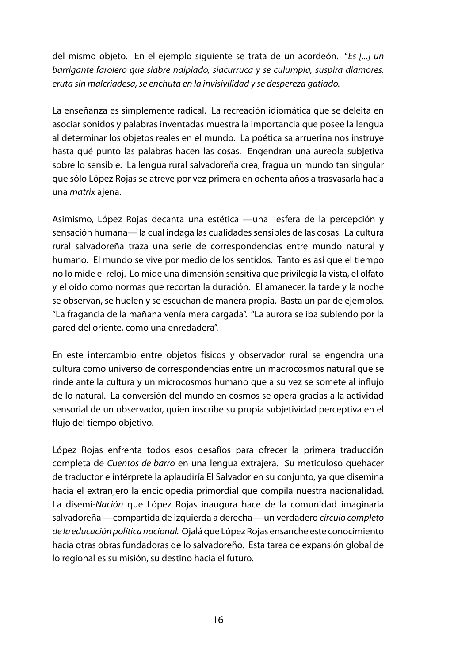del mismo objeto. En el ejemplo siguiente se trata de un acordeón. "*Es [...] un barrigante farolero que siabre naipiado, siacurruca y se culumpia, suspira diamores, eruta sin malcriadesa, se enchuta en la invisivilidad y se despereza gatiado.*

La enseñanza es simplemente radical. La recreación idiomática que se deleita en asociar sonidos y palabras inventadas muestra la importancia que posee la lengua al determinar los objetos reales en el mundo. La poética salarruerina nos instruye hasta qué punto las palabras hacen las cosas. Engendran una aureola subjetiva sobre lo sensible. La lengua rural salvadoreña crea, fragua un mundo tan singular que sólo López Rojas se atreve por vez primera en ochenta años a trasvasarla hacia una *matrix* ajena.

Asimismo, López Rojas decanta una estética —una esfera de la percepción y sensación humana— la cual indaga las cualidades sensibles de las cosas. La cultura rural salvadoreña traza una serie de correspondencias entre mundo natural y humano. El mundo se vive por medio de los sentidos. Tanto es así que el tiempo no lo mide el reloj. Lo mide una dimensión sensitiva que privilegia la vista, el olfato y el oído como normas que recortan la duración. El amanecer, la tarde y la noche se observan, se huelen y se escuchan de manera propia. Basta un par de ejemplos. "La fragancia de la mañana venía mera cargada". "La aurora se iba subiendo por la pared del oriente, como una enredadera".

En este intercambio entre objetos físicos y observador rural se engendra una cultura como universo de correspondencias entre un macrocosmos natural que se rinde ante la cultura y un microcosmos humano que a su vez se somete al influjo de lo natural. La conversión del mundo en cosmos se opera gracias a la actividad sensorial de un observador, quien inscribe su propia subjetividad perceptiva en el flujo del tiempo objetivo.

López Rojas enfrenta todos esos desafíos para ofrecer la primera traducción completa de *Cuentos de barro* en una lengua extrajera. Su meticuloso quehacer de traductor e intérprete la aplaudiría El Salvador en su conjunto, ya que disemina hacia el extranjero la enciclopedia primordial que compila nuestra nacionalidad. La disemi-*Nación* que López Rojas inaugura hace de la comunidad imaginaria salvadoreña —compartida de izquierda a derecha— un verdadero *círculo completo de la educación política nacional.* Ojalá que López Rojas ensanche este conocimiento hacia otras obras fundadoras de lo salvadoreño. Esta tarea de expansión global de lo regional es su misión, su destino hacia el futuro.